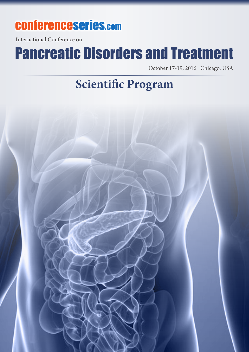## conferenceseries.com

International Conference on

# Pancreatic Disorders and Treatment

October 17-19, 2016 Chicago, USA

### **Scientific Program**

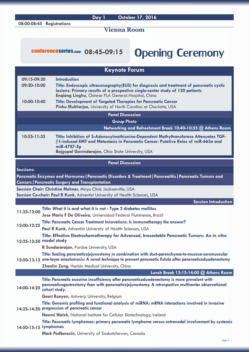#### **08:00-08:45 Registrations**

**Day 1 October 17, 2016**

#### **Vienna Room**

### conferenceseries.com 08:45-09:15 Opening Ceremony

|                         | <b>Keynote Forum</b>                                                                                                                                                                                                            |  |  |
|-------------------------|---------------------------------------------------------------------------------------------------------------------------------------------------------------------------------------------------------------------------------|--|--|
| 09:15-09:20             | <b>Introduction</b>                                                                                                                                                                                                             |  |  |
| 09:20-10:00             | Title: Endoscopic ultrasonography(EUS) for diagnosis and treatment of pancreatic cystic<br>lesions: Primary results of a prospective single-center study of 120 patients<br>Engiang Linghu, Chinese PLA General Hospital, China |  |  |
| 10:00-10:40             | <b>Title: Development of Targeted Therapies for Pancreatic Cancer</b><br>Pinku Mukherjee, University of North Carolina at Charlotte, USA                                                                                        |  |  |
|                         | <b>Panel Discussion</b>                                                                                                                                                                                                         |  |  |
|                         | <b>Group Photo</b>                                                                                                                                                                                                              |  |  |
|                         | Networking and Refreshment Break 10:40-10:55 @ Athens Room                                                                                                                                                                      |  |  |
| 10:55-11:35             | Title: Inhibition of S-Adenosylmethionine-Dependent Methyltransferase Attenuates TGF-<br>$\beta$ 1-induced EMT and Metastasis in Pancreatic Cancer: Putative Roles of miR-663a and<br>miR-4787-5p                               |  |  |
|                         | Rajgopal Govindarajan, Ohio State University, USA                                                                                                                                                                               |  |  |
| <b>Panel Discussion</b> |                                                                                                                                                                                                                                 |  |  |
| <b>Sessions:</b>        |                                                                                                                                                                                                                                 |  |  |
|                         | Pancreatic Enzymes and Hormones   Pancreatic Disorders & Treatment   Pancreatitis   Pancreatic Tumors and<br><b>Cancers   Pancreatic Surgery and Transplantation</b>                                                            |  |  |
|                         | Session Chair: Christine Mehner, Mayo Clinic Jacksonville, USA                                                                                                                                                                  |  |  |
|                         | Session Co-chair: Paul R Kunk, Adventist University of Health Sciences, USA                                                                                                                                                     |  |  |
|                         | <b>Session Introduction</b>                                                                                                                                                                                                     |  |  |
| 11:35-12:00             | Title: What it is and what it is not - Type 2 diabetes mellitus                                                                                                                                                                 |  |  |
|                         | Jose Mario F De Oliveira, Universidad Federal Fluminense, Brazil                                                                                                                                                                |  |  |
| 12:00-12:25             | Title: Pancreatic Cancer Treatment Innovations: Is immunotherapy the answer?                                                                                                                                                    |  |  |
|                         | <b>Paul R Kunk, Adventist University of Health Sciences, USA</b>                                                                                                                                                                |  |  |
|                         | Title: Effective Electrochemotherapy for Advanced, Irresectable Pancreatic Tumors: An in vitro<br>12:25-12:50 model study                                                                                                       |  |  |
|                         | R Sundararajan, Purdue University, USA                                                                                                                                                                                          |  |  |
|                         | Title: Sealing pancreaticojejunostomy in combination with duct-parenchyma-to-mucosa-seromuscular                                                                                                                                |  |  |
|                         | 12:50-13:15 one-layer anastomosis: A novel technique to prevent pancreatic fistula after pancreaticoduodenectomy                                                                                                                |  |  |
|                         | <b>Zhaolin Zeng, Harbin Medical University, China</b>                                                                                                                                                                           |  |  |
|                         | Lunch Break 13:15-14:00 @ Athens Room                                                                                                                                                                                           |  |  |
| 14:00-14:25             | Title: Pancreatic exocrine insufficiency after pancreaticoduodenectomy is more prevalent with<br>pancreaticogastrostomy than with pancreaticojejunostomy. A retrospective multicenter observational<br>cohort study.            |  |  |
|                         | Geert Roeyen, Antwerp University, Belgium                                                                                                                                                                                       |  |  |
|                         | Title: Genomic profiling and functional analysis of miRNA: mRNA interactions involved in invasive<br>14:25-14:50 progression of pancreatic cancer                                                                               |  |  |
|                         | Naomi Walsh, National Institute for Cellular Biotechnology, Ireland                                                                                                                                                             |  |  |
| 14:50-15:15 lymphomas   | Title: Pancreatic lymphomas: primary pancreatic lymphoma versus extranodal involvement by systemic                                                                                                                              |  |  |
|                         | Mark Podberezin, University of Saskatchewan, Canada                                                                                                                                                                             |  |  |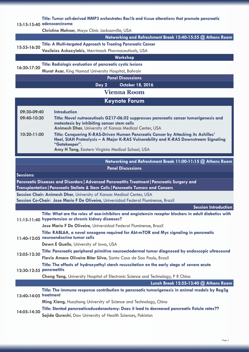#### **15:15-15:40 adenocarcinoma [Title: Tumor cell-derived MMP3 orchestrates Rac1b and tissue alterations that promote pancreatic](http://pancreas.conferenceseries.com/abstract/2016/tumor-cell-derived-mmp3-orchestrates-rac1b-and-tissue-alterations-that-promote-pancreatic-adenocarcinoma)**

**Christine Mehner,** [Mayo Clinic Jacksonville, USA](http://pancreas.conferenceseries.com/speaker/2016/christine-mehner-mayo-clinic-jacksonville-usa)

**Networking and Refreshment Break 15:40-15:55 @ Athens Room**

### **15:55-16:20 [Title: A Multi-targeted Approach to Treating Pancreatic Cancer](http://pancreas.conferenceseries.com/abstract/2016/a-multi-targeted-approach-to-treating-pancreatic-cancer)**

**Vasileios Askoxylakis,** [Merrimack Pharmaceuticals, USA](http://pancreas.conferenceseries.com/speaker/2016/chrystal-u-louis-merrimack-pharmaceuticals-usa)

#### **Workshop**

**16:20-17:20 [Title: Radiologic evaluation of pancreatic cystic lesions](http://pancreas.conferenceseries.com/abstract/2016/radiologic-evaluation-of-pancreatic-cystic-lesions)**

**Murat Acar,** [King Hamad University Hospital, Bahrain](http://pancreas.conferenceseries.com/speaker/2016/murat-acar-king-hamad-university-hospital-bahrain-1592292679)

**Panel Discussions**

**Day 2 October 18, 2016**

#### **Vienna Room**

#### **Keynote Forum**

| 09:30-09:40     | <b>Introduction</b>                                                                                                                                                                                                                           |
|-----------------|-----------------------------------------------------------------------------------------------------------------------------------------------------------------------------------------------------------------------------------------------|
| 09:40-10:20     | Title: Novel nutraceuticals GZ17-06.02 suppresses pancreatic cancer tumorigenesis and<br>metastasis by inhibiting cancer stem cells<br>Animesh Dhar, University of Kansas Medical Center, USA                                                 |
| $10:20 - 11:00$ | Title: Conquering K-RAS-Driven Human Pancreatic Cancer by Attacking its Achilles'<br>Heel, SIAH Proteolysis - A Major K-RAS Vulnerability and K-RAS Downstream Signaling<br>"Gatekeeper".<br>Amy H Tang, Eastern Virginia Medical School, USA |

#### **Networking and Refreshment Break 11:00-11:15 @ Athens Room Panel Discussions**

| <b>Sessions:</b>                                                                                                                                                                   |                                                                                                                                                               |  |  |
|------------------------------------------------------------------------------------------------------------------------------------------------------------------------------------|---------------------------------------------------------------------------------------------------------------------------------------------------------------|--|--|
| Pancreatic Diseases and Disorders   Advanced Pancreatitis Treatment   Pancreatic Surgery and<br>Transplantation   Pancreatic Stellate & Stem Cells   Pancreatic Tumors and Cancers |                                                                                                                                                               |  |  |
| Session Chair: Animesh Dhar, University of Kansas Medical Center, USA                                                                                                              |                                                                                                                                                               |  |  |
| Session Co-Chair: Jose Mario F De Oliveira, Universidad Federal Fluminense, Brazil                                                                                                 |                                                                                                                                                               |  |  |
|                                                                                                                                                                                    | Session Introduction                                                                                                                                          |  |  |
|                                                                                                                                                                                    | Title: What are the roles of ace-inhibitors and angiotensin receptor blockers in adult diabetics with<br>11:15-11:40 hypertension or chronic kidney diseases? |  |  |
|                                                                                                                                                                                    | Jose Mario F De Oliveira, Universidad Federal Fluminense, Brazil                                                                                              |  |  |
|                                                                                                                                                                                    | Title: RABL6A, a novel oncogene required for Akt-mTOR and Myc signaling in pancreatic<br>11:40-12:05 neuroendocrine tumor cells                               |  |  |
|                                                                                                                                                                                    | Dawn E Quelle, University of Iowa, USA                                                                                                                        |  |  |
| 12:05-12:30                                                                                                                                                                        | Title: Pancreatic peripheral primitive neuroectodermal tumor diagnosed by endoscopic ultrasound                                                               |  |  |
|                                                                                                                                                                                    | Flavio Amaro Oliveira Bitar Silva, Santa Casa de Sao Paulo, Brazil                                                                                            |  |  |
| 12:30-12:55 pancreatitis                                                                                                                                                           | Title: The effects of hydroxyethyl starch resuscitation on the early stage of severe acute                                                                    |  |  |
|                                                                                                                                                                                    | <b>Chong Yang, University Hospital of Electronic Science and Technology, P R China</b>                                                                        |  |  |
|                                                                                                                                                                                    | Lunch Break 12:55-13:40 @ Athens Room                                                                                                                         |  |  |
| 13:40-14:05 treatment                                                                                                                                                              | Title: The immune response contribution to pancreatic tumorigenesis in animal models by Reg3g                                                                 |  |  |
|                                                                                                                                                                                    | Ming Xiang, Huazhong University of Science and Technology, China                                                                                              |  |  |
| 14:05-14:30                                                                                                                                                                        | Title: Stented pancreaticoduodenectomy: Does it lead to decreased pancreatic fistula rates??                                                                  |  |  |
|                                                                                                                                                                                    | Sajida Qureshi, Dow University of Health Sciences, Pakistan                                                                                                   |  |  |